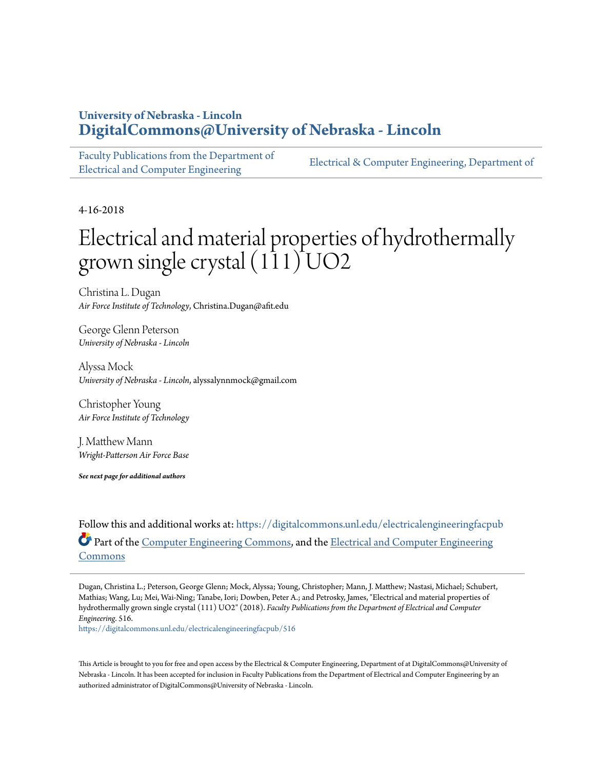### **University of Nebraska - Lincoln [DigitalCommons@University of Nebraska - Lincoln](https://digitalcommons.unl.edu/?utm_source=digitalcommons.unl.edu%2Felectricalengineeringfacpub%2F516&utm_medium=PDF&utm_campaign=PDFCoverPages)**

[Faculty Publications from the Department of](https://digitalcommons.unl.edu/electricalengineeringfacpub?utm_source=digitalcommons.unl.edu%2Felectricalengineeringfacpub%2F516&utm_medium=PDF&utm_campaign=PDFCoverPages) [Electrical and Computer Engineering](https://digitalcommons.unl.edu/electricalengineeringfacpub?utm_source=digitalcommons.unl.edu%2Felectricalengineeringfacpub%2F516&utm_medium=PDF&utm_campaign=PDFCoverPages)

[Electrical & Computer Engineering, Department of](https://digitalcommons.unl.edu/electricalengineering?utm_source=digitalcommons.unl.edu%2Felectricalengineeringfacpub%2F516&utm_medium=PDF&utm_campaign=PDFCoverPages)

4-16-2018

# Electrical and material properties of hydrothermally grown single crystal  $(111)$  UO2

Christina L. Dugan *Air Force Institute of Technology*, Christina.Dugan@afit.edu

George Glenn Peterson *University of Nebraska - Lincoln*

Alyssa Mock *University of Nebraska - Lincoln*, alyssalynnmock@gmail.com

Christopher Young *Air Force Institute of Technology*

J. Matthew Mann *Wright-Patterson Air Force Base*

*See next page for additional authors*

Follow this and additional works at: [https://digitalcommons.unl.edu/electricalengineeringfacpub](https://digitalcommons.unl.edu/electricalengineeringfacpub?utm_source=digitalcommons.unl.edu%2Felectricalengineeringfacpub%2F516&utm_medium=PDF&utm_campaign=PDFCoverPages) Part of the [Computer Engineering Commons,](http://network.bepress.com/hgg/discipline/258?utm_source=digitalcommons.unl.edu%2Felectricalengineeringfacpub%2F516&utm_medium=PDF&utm_campaign=PDFCoverPages) and the [Electrical and Computer Engineering](http://network.bepress.com/hgg/discipline/266?utm_source=digitalcommons.unl.edu%2Felectricalengineeringfacpub%2F516&utm_medium=PDF&utm_campaign=PDFCoverPages) [Commons](http://network.bepress.com/hgg/discipline/266?utm_source=digitalcommons.unl.edu%2Felectricalengineeringfacpub%2F516&utm_medium=PDF&utm_campaign=PDFCoverPages)

Dugan, Christina L.; Peterson, George Glenn; Mock, Alyssa; Young, Christopher; Mann, J. Matthew; Nastasi, Michael; Schubert, Mathias; Wang, Lu; Mei, Wai-Ning; Tanabe, Iori; Dowben, Peter A.; and Petrosky, James, "Electrical and material properties of hydrothermally grown single crystal (111) UO2" (2018). *Faculty Publications from the Department of Electrical and Computer Engineering*. 516.

[https://digitalcommons.unl.edu/electricalengineeringfacpub/516](https://digitalcommons.unl.edu/electricalengineeringfacpub/516?utm_source=digitalcommons.unl.edu%2Felectricalengineeringfacpub%2F516&utm_medium=PDF&utm_campaign=PDFCoverPages)

This Article is brought to you for free and open access by the Electrical & Computer Engineering, Department of at DigitalCommons@University of Nebraska - Lincoln. It has been accepted for inclusion in Faculty Publications from the Department of Electrical and Computer Engineering by an authorized administrator of DigitalCommons@University of Nebraska - Lincoln.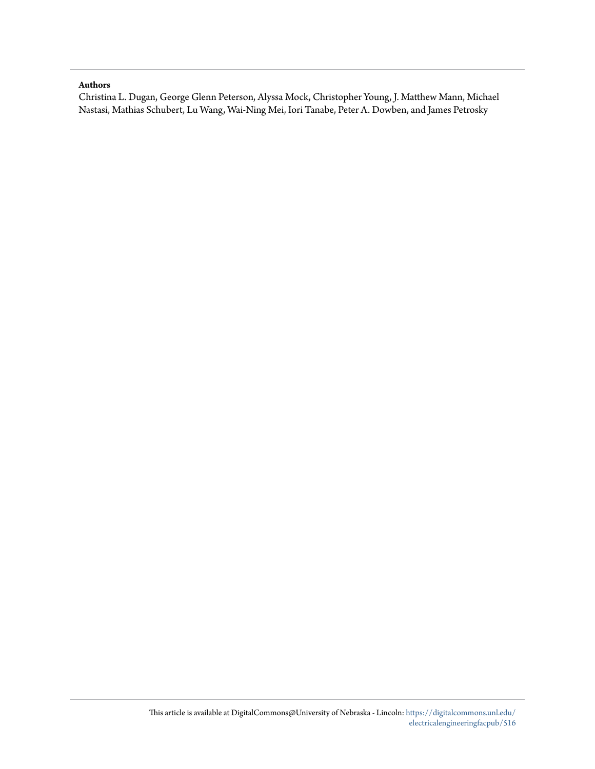#### **Authors**

Christina L. Dugan, George Glenn Peterson, Alyssa Mock, Christopher Young, J. Matthew Mann, Michael Nastasi, Mathias Schubert, Lu Wang, Wai-Ning Mei, Iori Tanabe, Peter A. Dowben, and James Petrosky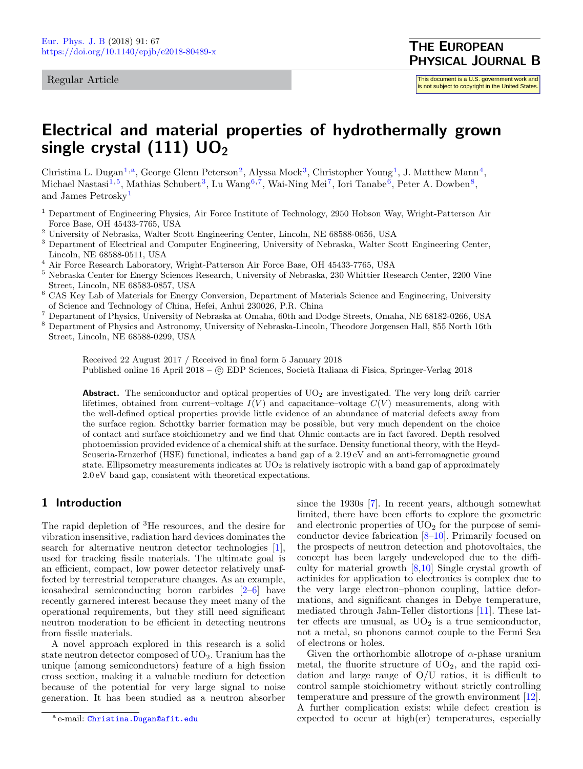#### <span id="page-2-8"></span>Regular Article

## Electrical and material properties of hydrothermally grown single crystal  $(111)$  UO<sub>2</sub>

Christina L. Dugan<sup>[1,](#page-2-0)a</sup>, George Glenn Peterson<sup>[2](#page-2-1)</sup>, Alyssa Mock<sup>[3](#page-2-2)</sup>, Christopher Young<sup>[1](#page-2-0)</sup>, J. Matthew Mann<sup>[4](#page-2-3)</sup>, Michael Nastasi $^{1,5}$  $^{1,5}$  $^{1,5}$  $^{1,5}$ , Mathias Schubert $^3$  $^3$ , Lu Wang $^{6,7}$  $^{6,7}$  $^{6,7}$  $^{6,7}$ , Wai-Ning Mei $^7$ , Iori Tanabe $^6$  $^6$ , Peter A. Dowben $^8$  $^8$ , and James Petrosky[1](#page-2-0)

- <span id="page-2-0"></span><sup>1</sup> Department of Engineering Physics, Air Force Institute of Technology, 2950 Hobson Way, Wright-Patterson Air Force Base, OH 45433-7765, USA
- <span id="page-2-1"></span> $^2$ University of Nebraska, Walter Scott Engineering Center, Lincoln, NE 68588-0656, USA
- <span id="page-2-2"></span><sup>3</sup> Department of Electrical and Computer Engineering, University of Nebraska, Walter Scott Engineering Center, Lincoln, NE 68588-0511, USA
- <span id="page-2-3"></span><sup>4</sup> Air Force Research Laboratory, Wright-Patterson Air Force Base, OH 45433-7765, USA
- <span id="page-2-4"></span><sup>5</sup> Nebraska Center for Energy Sciences Research, University of Nebraska, 230 Whittier Research Center, 2200 Vine Street, Lincoln, NE 68583-0857, USA
- <span id="page-2-5"></span><sup>6</sup> CAS Key Lab of Materials for Energy Conversion, Department of Materials Science and Engineering, University of Science and Technology of China, Hefei, Anhui 230026, P.R. China
- <span id="page-2-6"></span><sup>7</sup> Department of Physics, University of Nebraska at Omaha, 60th and Dodge Streets, Omaha, NE 68182-0266, USA
- <span id="page-2-7"></span><sup>8</sup> Department of Physics and Astronomy, University of Nebraska-Lincoln, Theodore Jorgensen Hall, 855 North 16th Street, Lincoln, NE 68588-0299, USA

Received 22 August 2017 / Received in final form 5 January 2018 Published online 16 April 2018 –  $\copyright$  EDP Sciences, Società Italiana di Fisica, Springer-Verlag 2018

**Abstract.** The semiconductor and optical properties of  $UO<sub>2</sub>$  are investigated. The very long drift carrier lifetimes, obtained from current–voltage  $I(V)$  and capacitance–voltage  $C(V)$  measurements, along with the well-defined optical properties provide little evidence of an abundance of material defects away from the surface region. Schottky barrier formation may be possible, but very much dependent on the choice of contact and surface stoichiometry and we find that Ohmic contacts are in fact favored. Depth resolved photoemission provided evidence of a chemical shift at the surface. Density functional theory, with the Heyd-Scuseria-Ernzerhof (HSE) functional, indicates a band gap of a 2.19 eV and an anti-ferromagnetic ground state. Ellipsometry measurements indicates at  $UO<sub>2</sub>$  is relatively isotropic with a band gap of approximately 2.0 eV band gap, consistent with theoretical expectations.

#### 1 Introduction

The rapid depletion of <sup>3</sup>He resources, and the desire for vibration insensitive, radiation hard devices dominates the search for alternative neutron detector technologies [\[1\]](#page-7-0), used for tracking fissile materials. The ultimate goal is an efficient, compact, low power detector relatively unaffected by terrestrial temperature changes. As an example, icosahedral semiconducting boron carbides [\[2–](#page-7-1)[6\]](#page-7-2) have recently garnered interest because they meet many of the operational requirements, but they still need significant neutron moderation to be efficient in detecting neutrons from fissile materials.

A novel approach explored in this research is a solid state neutron detector composed of  $UO<sub>2</sub>$ . Uranium has the unique (among semiconductors) feature of a high fission cross section, making it a valuable medium for detection because of the potential for very large signal to noise generation. It has been studied as a neutron absorber

since the 1930s [\[7\]](#page-8-0). In recent years, although somewhat limited, there have been efforts to explore the geometric and electronic properties of  $UO<sub>2</sub>$  for the purpose of semiconductor device fabrication [\[8](#page-8-1)[–10\]](#page-8-2). Primarily focused on the prospects of neutron detection and photovoltaics, the concept has been largely undeveloped due to the difficulty for material growth [\[8](#page-8-1)[,10\]](#page-8-2) Single crystal growth of actinides for application to electronics is complex due to the very large electron–phonon coupling, lattice deformations, and significant changes in Debye temperature, mediated through Jahn-Teller distortions [\[11\]](#page-8-3). These latter effects are unusual, as  $UO<sub>2</sub>$  is a true semiconductor, not a metal, so phonons cannot couple to the Fermi Sea of electrons or holes.

Given the orthorhombic allotrope of  $\alpha$ -phase uranium metal, the fluorite structure of  $UO<sub>2</sub>$ , and the rapid oxidation and large range of O/U ratios, it is difficult to control sample stoichiometry without strictly controlling temperature and pressure of the growth environment [\[12\]](#page-8-4). A further complication exists: while defect creation is expected to occur at high(er) temperatures, especially

<sup>&</sup>lt;sup>a</sup> e-mail: <mark>[Christina.Dugan@afit.edu](mailto:Christina.Dugan@afit.edu)</mark>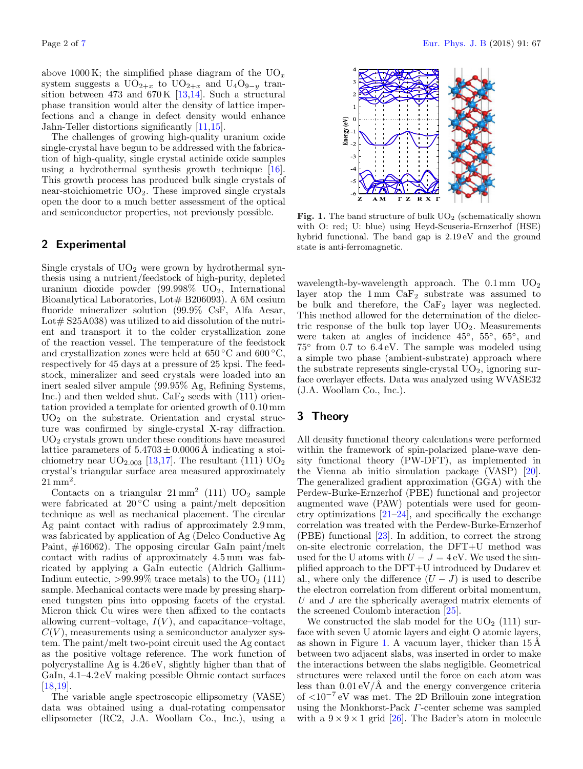above 1000 K; the simplified phase diagram of the  $UO_x$ system suggests a  $UO_{2+x}$  to  $UO_{2+x}$  and  $U_4O_{9-y}$  transition between 473 and  $670 \text{ K}$  [\[13,](#page-8-5)[14\]](#page-8-6). Such a structural phase transition would alter the density of lattice imperfections and a change in defect density would enhance Jahn-Teller distortions significantly [\[11](#page-8-3)[,15\]](#page-8-7).

The challenges of growing high-quality uranium oxide single-crystal have begun to be addressed with the fabrication of high-quality, single crystal actinide oxide samples using a hydrothermal synthesis growth technique [\[16\]](#page-8-8). This growth process has produced bulk single crystals of near-stoichiometric  $UO_2$ . These improved single crystals open the door to a much better assessment of the optical and semiconductor properties, not previously possible.

#### 2 Experimental

Single crystals of  $UO<sub>2</sub>$  were grown by hydrothermal synthesis using a nutrient/feedstock of high-purity, depleted uranium dioxide powder  $(99.998\% \text{ UO}_2)$ , International Bioanalytical Laboratories, Lot $# B206093$ . A 6M cesium fluoride mineralizer solution (99.9% CsF, Alfa Aesar, Lot $\#$  S25A038) was utilized to aid dissolution of the nutrient and transport it to the colder crystallization zone of the reaction vessel. The temperature of the feedstock and crystallization zones were held at  $650\,^{\circ}\text{C}$  and  $600\,^{\circ}\text{C}$ . respectively for 45 days at a pressure of 25 kpsi. The feedstock, mineralizer and seed crystals were loaded into an inert sealed silver ampule (99.95% Ag, Refining Systems, Inc.) and then welded shut.  $CaF<sub>2</sub>$  seeds with (111) orientation provided a template for oriented growth of 0.10 mm  $UO<sub>2</sub>$  on the substrate. Orientation and crystal structure was confirmed by single-crystal X-ray diffraction.  $UO<sub>2</sub>$  crystals grown under these conditions have measured lattice parameters of  $5.4703 \pm 0.0006$  Å indicating a stoichiometry near  $UO_{2.003}$  [\[13,](#page-8-5)[17\]](#page-8-9). The resultant (111)  $UO_2$ crystal's triangular surface area measured approximately  $21 \text{ mm}^2$ .

Contacts on a triangular  $21 \text{ mm}^2$  (111)  $UO_2$  sample were fabricated at  $20 °C$  using a paint/melt deposition technique as well as mechanical placement. The circular Ag paint contact with radius of approximately 2.9 mm, was fabricated by application of Ag (Delco Conductive Ag Paint, #16062). The opposing circular GaIn paint/melt contact with radius of approximately 4.5 mm was fabricated by applying a GaIn eutectic (Aldrich Gallium-Indium eutectic,  $>99.99\%$  trace metals) to the UO<sub>2</sub> (111) sample. Mechanical contacts were made by pressing sharpened tungsten pins into opposing facets of the crystal. Micron thick Cu wires were then affixed to the contacts allowing current–voltage,  $I(V)$ , and capacitance–voltage,  $C(V)$ , measurements using a semiconductor analyzer system. The paint/melt two-point circuit used the Ag contact as the positive voltage reference. The work function of polycrystalline Ag is 4.26 eV, slightly higher than that of GaIn, 4.1–4.2 eV making possible Ohmic contact surfaces [\[18](#page-8-10)[,19\]](#page-8-11).

The variable angle spectroscopic ellipsometry (VASE) data was obtained using a dual-rotating compensator ellipsometer (RC2, J.A. Woollam Co., Inc.), using a



<span id="page-3-0"></span>Fig. 1. The band structure of bulk  $UO<sub>2</sub>$  (schematically shown with O: red; U: blue) using Heyd-Scuseria-Ernzerhof (HSE) hybrid functional. The band gap is 2.19 eV and the ground state is anti-ferromagnetic.

wavelength-by-wavelength approach. The  $0.1 \,\mathrm{mm}$  UO<sub>2</sub> layer atop the  $1 \text{ mm } CaF_2$  substrate was assumed to be bulk and therefore, the  $CaF<sub>2</sub>$  layer was neglected. This method allowed for the determination of the dielectric response of the bulk top layer  $UO_2$ . Measurements were taken at angles of incidence 45<sup>°</sup>, 55<sup>°</sup>, 65<sup>°</sup>, and 75◦ from 0.7 to 6.4 eV. The sample was modeled using a simple two phase (ambient-substrate) approach where the substrate represents single-crystal  $UO<sub>2</sub>$ , ignoring surface overlayer effects. Data was analyzed using WVASE32 (J.A. Woollam Co., Inc.).

#### 3 Theory

All density functional theory calculations were performed within the framework of spin-polarized plane-wave density functional theory (PW-DFT), as implemented in the Vienna ab initio simulation package (VASP) [\[20\]](#page-8-12). The generalized gradient approximation (GGA) with the Perdew-Burke-Ernzerhof (PBE) functional and projector augmented wave (PAW) potentials were used for geometry optimizations [\[21](#page-8-13)[–24\]](#page-8-14), and specifically the exchange correlation was treated with the Perdew-Burke-Ernzerhof (PBE) functional [\[23\]](#page-8-15). In addition, to correct the strong on-site electronic correlation, the DFT+U method was used for the U atoms with  $U - J = 4$  eV. We used the simplified approach to the DFT+U introduced by Dudarev et al., where only the difference  $(U - J)$  is used to describe the electron correlation from different orbital momentum, U and J are the spherically averaged matrix elements of the screened Coulomb interaction [\[25\]](#page-8-16).

We constructed the slab model for the  $UO<sub>2</sub>$  (111) surface with seven U atomic layers and eight O atomic layers, as shown in Figure [1.](#page-3-0) A vacuum layer, thicker than  $15 \text{\AA}$ between two adjacent slabs, was inserted in order to make the interactions between the slabs negligible. Geometrical structures were relaxed until the force on each atom was less than  $0.01 \mathrm{eV}/\mathrm{\AA}$  and the energy convergence criteria of <10<sup>−</sup><sup>7</sup> eV was met. The 2D Brillouin zone integration using the Monkhorst-Pack Γ-center scheme was sampled with a  $9 \times 9 \times 1$  grid [\[26\]](#page-8-17). The Bader's atom in molecule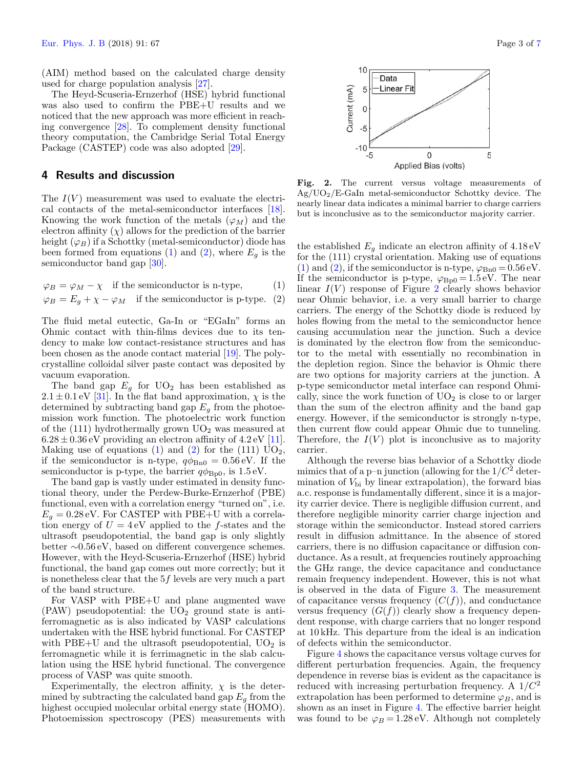(AIM) method based on the calculated charge density used for charge population analysis [\[27\]](#page-8-18).

The Heyd-Scuseria-Ernzerhof (HSE) hybrid functional was also used to confirm the PBE+U results and we noticed that the new approach was more efficient in reaching convergence [\[28\]](#page-8-19). To complement density functional theory computation, the Cambridge Serial Total Energy Package (CASTEP) code was also adopted [\[29\]](#page-8-20).

#### 4 Results and discussion

The  $I(V)$  measurement was used to evaluate the electrical contacts of the metal-semiconductor interfaces [\[18\]](#page-8-10). Knowing the work function of the metals  $(\varphi_M)$  and the electron affinity  $(\chi)$  allows for the prediction of the barrier height  $(\varphi_B)$  if a Schottky (metal-semiconductor) diode has been formed from equations [\(1\)](#page-4-0) and [\(2\)](#page-4-0), where  $E_g$  is the semiconductor band gap [\[30\]](#page-8-21).

<span id="page-4-0"></span> $\varphi_B = \varphi_M - \chi$  if the semiconductor is n-type, (1)

$$
\varphi_B = E_g + \chi - \varphi_M \quad \text{if the semiconductor is p-type.} \tag{2}
$$

The fluid metal eutectic, Ga-In or "EGaIn" forms an Ohmic contact with thin-films devices due to its tendency to make low contact-resistance structures and has been chosen as the anode contact material [\[19\]](#page-8-11). The polycrystalline colloidal silver paste contact was deposited by vacuum evaporation.

The band gap  $E_q$  for  $UO_2$  has been established as  $2.1 \pm 0.1$  eV [\[31\]](#page-8-22). In the flat band approximation,  $\chi$  is the determined by subtracting band gap  $E<sub>g</sub>$  from the photoemission work function. The photoelectric work function of the  $(111)$  hydrothermally grown  $UO<sub>2</sub>$  was measured at  $6.28 \pm 0.36$  eV providing an electron affinity of  $4.2$  eV [\[11\]](#page-8-3). Making use of equations [\(1\)](#page-4-0) and [\(2\)](#page-4-0) for the (111)  $UO_2$ , if the semiconductor is n-type,  $q\phi_{\text{Bn0}} = 0.56 \text{ eV}$ . If the semiconductor is p-type, the barrier  $q\phi_{\rm Bp0}$ , is 1.5 eV.

The band gap is vastly under estimated in density functional theory, under the Perdew-Burke-Ernzerhof (PBE) functional, even with a correlation energy "turned on", i.e.  $E_q = 0.28$  eV. For CASTEP with PBE+U with a correlation energy of  $U = 4$  eV applied to the f-states and the ultrasoft pseudopotential, the band gap is only slightly better ∼0.56 eV, based on different convergence schemes. However, with the Heyd-Scuseria-Ernzerhof (HSE) hybrid functional, the band gap comes out more correctly; but it is nonetheless clear that the 5f levels are very much a part of the band structure.

For VASP with PBE+U and plane augmented wave  $(PAW)$  pseudopotential: the  $UO<sub>2</sub>$  ground state is antiferromagnetic as is also indicated by VASP calculations undertaken with the HSE hybrid functional. For CASTEP with PBE+U and the ultrasoft pseudopotential,  $UO<sub>2</sub>$  is ferromagnetic while it is ferrimagnetic in the slab calculation using the HSE hybrid functional. The convergence process of VASP was quite smooth.

Experimentally, the electron affinity,  $\chi$  is the determined by subtracting the calculated band gap  $E_g$  from the highest occupied molecular orbital energy state (HOMO). Photoemission spectroscopy (PES) measurements with



<span id="page-4-1"></span>Fig. 2. The current versus voltage measurements of Ag/UO2/E-GaIn metal-semiconductor Schottky device. The nearly linear data indicates a minimal barrier to charge carriers but is inconclusive as to the semiconductor majority carrier.

the established  $E_q$  indicate an electron affinity of  $4.18 \text{ eV}$ for the (111) crystal orientation. Making use of equations [\(1\)](#page-4-0) and [\(2\)](#page-4-0), if the semiconductor is n-type,  $\varphi_{\rm Bn0} = 0.56 \,\rm eV$ . If the semiconductor is p-type,  $\varphi_{\rm Bp0} = 1.5 \,\text{eV}$ . The near linear  $I(V)$  response of Figure [2](#page-4-1) clearly shows behavior near Ohmic behavior, i.e. a very small barrier to charge carriers. The energy of the Schottky diode is reduced by holes flowing from the metal to the semiconductor hence causing accumulation near the junction. Such a device is dominated by the electron flow from the semiconductor to the metal with essentially no recombination in the depletion region. Since the behavior is Ohmic there are two options for majority carriers at the junction. A p-type semiconductor metal interface can respond Ohmically, since the work function of  $UO<sub>2</sub>$  is close to or larger than the sum of the electron affinity and the band gap energy. However, if the semiconductor is strongly n-type, then current flow could appear Ohmic due to tunneling. Therefore, the  $I(V)$  plot is inconclusive as to majority carrier.

Although the reverse bias behavior of a Schottky diode mimics that of a p-n junction (allowing for the  $1/C^2$  determination of  $V_{\text{bi}}$  by linear extrapolation), the forward bias a.c. response is fundamentally different, since it is a majority carrier device. There is negligible diffusion current, and therefore negligible minority carrier charge injection and storage within the semiconductor. Instead stored carriers result in diffusion admittance. In the absence of stored carriers, there is no diffusion capacitance or diffusion conductance. As a result, at frequencies routinely approaching the GHz range, the device capacitance and conductance remain frequency independent. However, this is not what is observed in the data of Figure [3.](#page-5-0) The measurement of capacitance versus frequency  $(C(f))$ , and conductance versus frequency  $(G(f))$  clearly show a frequency dependent response, with charge carriers that no longer respond at 10 kHz. This departure from the ideal is an indication of defects within the semiconductor.

Figure [4](#page-5-1) shows the capacitance versus voltage curves for different perturbation frequencies. Again, the frequency dependence in reverse bias is evident as the capacitance is reduced with increasing perturbation frequency. A  $1/C<sup>2</sup>$ extrapolation has been performed to determine  $\varphi_B$ , and is shown as an inset in Figure [4.](#page-5-1) The effective barrier height was found to be  $\varphi_B = 1.28 \text{ eV}$ . Although not completely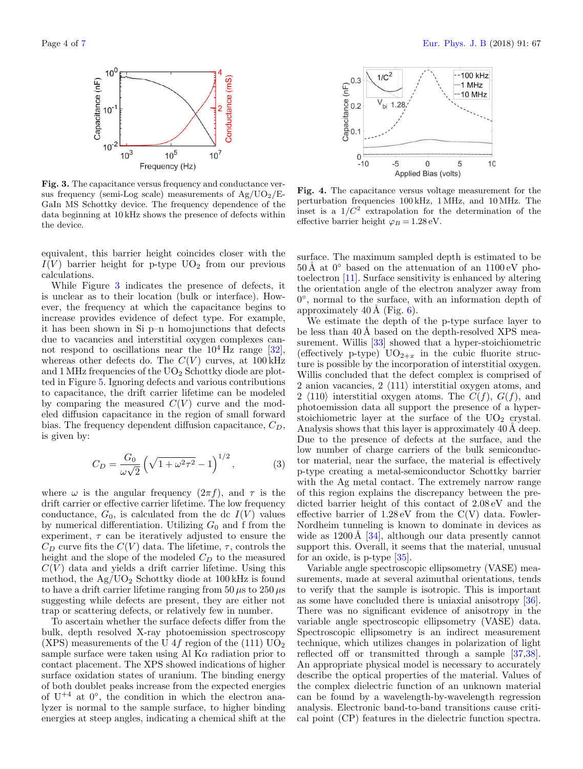

<span id="page-5-0"></span>Fig. 3. The capacitance versus frequency and conductance versus frequency (semi-Log scale) measurements of  $Ag/UO<sub>2</sub>/E-$ GaIn MS Schottky device. The frequency dependence of the data beginning at 10 kHz shows the presence of defects within the device.

equivalent, this barrier height coincides closer with the  $I(V)$  barrier height for p-type  $UO<sub>2</sub>$  from our previous calculations.

While Figure [3](#page-5-0) indicates the presence of defects, it is unclear as to their location (bulk or interface). However, the frequency at which the capacitance begins to increase provides evidence of defect type. For example, it has been shown in Si p–n homojunctions that defects due to vacancies and interstitial oxygen complexes cannot respond to oscillations near the  $10^4$  Hz range [\[32\]](#page-8-23), whereas other defects do. The  $C(V)$  curves, at 100 kHz and 1 MHz frequencies of the  $UO<sub>2</sub>$  Schottky diode are plotted in Figure [5.](#page-6-0) Ignoring defects and various contributions to capacitance, the drift carrier lifetime can be modeled by comparing the measured  $C(V)$  curve and the modeled diffusion capacitance in the region of small forward bias. The frequency dependent diffusion capacitance,  $C_D$ , is given by:

$$
C_D = \frac{G_0}{\omega \sqrt{2}} \left( \sqrt{1 + \omega^2 \tau^2} - 1 \right)^{1/2}, \tag{3}
$$

where  $\omega$  is the angular frequency  $(2\pi f)$ , and  $\tau$  is the drift carrier or effective carrier lifetime. The low frequency conductance,  $G_0$ , is calculated from the dc  $I(V)$  values by numerical differentiation. Utilizing  $G_0$  and f from the experiment,  $\tau$  can be iteratively adjusted to ensure the  $C_D$  curve fits the  $C(V)$  data. The lifetime,  $\tau$ , controls the height and the slope of the modeled  $C_D$  to the measured  $C(V)$  data and yields a drift carrier lifetime. Using this method, the  $Ag/UO<sub>2</sub>$  Schottky diode at 100 kHz is found to have a drift carrier lifetime ranging from 50  $\mu$ s to 250  $\mu$ s suggesting while defects are present, they are either not trap or scattering defects, or relatively few in number.

To ascertain whether the surface defects differ from the bulk, depth resolved X-ray photoemission spectroscopy (XPS) measurements of the U 4f region of the (111)  $UO<sub>2</sub>$ sample surface were taken using Al  $K\alpha$  radiation prior to contact placement. The XPS showed indications of higher surface oxidation states of uranium. The binding energy of both doublet peaks increase from the expected energies of  $U^{+4}$  at  $0^{\circ}$ , the condition in which the electron analyzer is normal to the sample surface, to higher binding energies at steep angles, indicating a chemical shift at the



<span id="page-5-1"></span>Fig. 4. The capacitance versus voltage measurement for the perturbation frequencies 100 kHz, 1 MHz, and 10 MHz. The inset is a  $1/C^2$  extrapolation for the determination of the effective barrier height  $\varphi_B = 1.28 \text{ eV}$ .

surface. The maximum sampled depth is estimated to be  $50 \text{\AA}$  at  $0^{\circ}$  based on the attenuation of an  $1100 \text{ eV}$  photoelectron [\[11\]](#page-8-3). Surface sensitivity is enhanced by altering the orientation angle of the electron analyzer away from 0 ◦ , normal to the surface, with an information depth of approximately  $40 \text{\AA}$  (Fig. [6\)](#page-6-1).

We estimate the depth of the p-type surface layer to be less than  $40 \text{\AA}$  based on the depth-resolved XPS measurement. Willis [\[33\]](#page-8-24) showed that a hyper-stoichiometric (effectively p-type)  $UO_{2+x}$  in the cubic fluorite structure is possible by the incorporation of interstitial oxygen. Willis concluded that the defect complex is comprised of 2 anion vacancies,  $2 \langle 111 \rangle$  interstitial oxygen atoms, and 2  $\langle 110 \rangle$  interstitial oxygen atoms. The  $C(f)$ ,  $G(f)$ , and photoemission data all support the presence of a hyperstoichiometric layer at the surface of the  $UO<sub>2</sub>$  crystal. Analysis shows that this layer is approximately 40 Å deep. Due to the presence of defects at the surface, and the low number of charge carriers of the bulk semiconductor material, near the surface, the material is effectively p-type creating a metal-semiconductor Schottky barrier with the Ag metal contact. The extremely narrow range of this region explains the discrepancy between the predicted barrier height of this contact of 2.08 eV and the effective barrier of  $1.28 \text{ eV}$  from the  $C(V)$  data. Fowler-Nordheim tunneling is known to dominate in devices as wide as  $1200 \text{\AA}$  [\[34\]](#page-8-25), although our data presently cannot support this. Overall, it seems that the material, unusual for an oxide, is p-type [\[35\]](#page-8-26).

Variable angle spectroscopic ellipsometry (VASE) measurements, made at several azimuthal orientations, tends to verify that the sample is isotropic. This is important as some have concluded there is uniaxial anisotropy [\[36\]](#page-8-27). There was no significant evidence of anisotropy in the variable angle spectroscopic ellipsometry (VASE) data. Spectroscopic ellipsometry is an indirect measurement technique, which utilizes changes in polarization of light reflected off or transmitted through a sample [\[37](#page-8-28)[,38\]](#page-8-29). An appropriate physical model is necessary to accurately describe the optical properties of the material. Values of the complex dielectric function of an unknown material can be found by a wavelength-by-wavelength regression analysis. Electronic band-to-band transitions cause critical point (CP) features in the dielectric function spectra.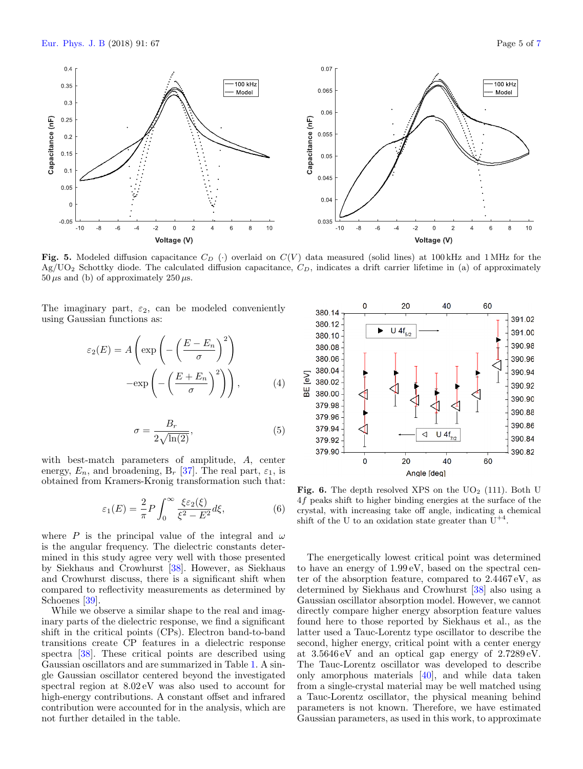

<span id="page-6-0"></span>Fig. 5. Modeled diffusion capacitance  $C_D$  (·) overlaid on  $C(V)$  data measured (solid lines) at 100 kHz and 1 MHz for the  $Ag/UO<sub>2</sub>$  Schottky diode. The calculated diffusion capacitance,  $C<sub>D</sub>$ , indicates a drift carrier lifetime in (a) of approximately 50  $\mu$ s and (b) of approximately 250  $\mu$ s.

The imaginary part,  $\varepsilon_2$ , can be modeled conveniently using Gaussian functions as:

$$
\varepsilon_2(E) = A \left( \exp \left( - \left( \frac{E - E_n}{\sigma} \right)^2 \right) - \exp \left( - \left( \frac{E + E_n}{\sigma} \right)^2 \right) \right), \tag{4}
$$

$$
\sigma = \frac{B_r}{2\sqrt{\ln(2)}},\tag{5}
$$

with best-match parameters of amplitude, A, center energy,  $E_n$ , and broadening,  $B_r$  [\[37\]](#page-8-28). The real part,  $\varepsilon_1$ , is obtained from Kramers-Kronig transformation such that:

$$
\varepsilon_1(E) = \frac{2}{\pi} P \int_0^\infty \frac{\xi \varepsilon_2(\xi)}{\xi^2 - E^2} d\xi, \tag{6}
$$

where P is the principal value of the integral and  $\omega$ is the angular frequency. The dielectric constants determined in this study agree very well with those presented by Siekhaus and Crowhurst [\[38\]](#page-8-29). However, as Siekhaus and Crowhurst discuss, there is a significant shift when compared to reflectivity measurements as determined by Schoenes [\[39\]](#page-8-30).

While we observe a similar shape to the real and imaginary parts of the dielectric response, we find a significant shift in the critical points (CPs). Electron band-to-band transitions create CP features in a dielectric response spectra [\[38\]](#page-8-29). These critical points are described using Gaussian oscillators and are summarized in Table [1.](#page-7-4) A single Gaussian oscillator centered beyond the investigated spectral region at 8.02 eV was also used to account for high-energy contributions. A constant offset and infrared contribution were accounted for in the analysis, which are not further detailed in the table.



<span id="page-6-1"></span>Fig. 6. The depth resolved XPS on the  $UO<sub>2</sub>$  (111). Both U 4f peaks shift to higher binding energies at the surface of the crystal, with increasing take off angle, indicating a chemical shift of the U to an oxidation state greater than  $U^{+4}$ .

The energetically lowest critical point was determined to have an energy of 1.99 eV, based on the spectral center of the absorption feature, compared to 2.4467 eV, as determined by Siekhaus and Crowhurst [\[38\]](#page-8-29) also using a Gaussian oscillator absorption model. However, we cannot directly compare higher energy absorption feature values found here to those reported by Siekhaus et al., as the latter used a Tauc-Lorentz type oscillator to describe the second, higher energy, critical point with a center energy at 3.5646 eV and an optical gap energy of 2.7289 eV. The Tauc-Lorentz oscillator was developed to describe only amorphous materials [\[40\]](#page-8-31), and while data taken from a single-crystal material may be well matched using a Tauc-Lorentz oscillator, the physical meaning behind parameters is not known. Therefore, we have estimated Gaussian parameters, as used in this work, to approximate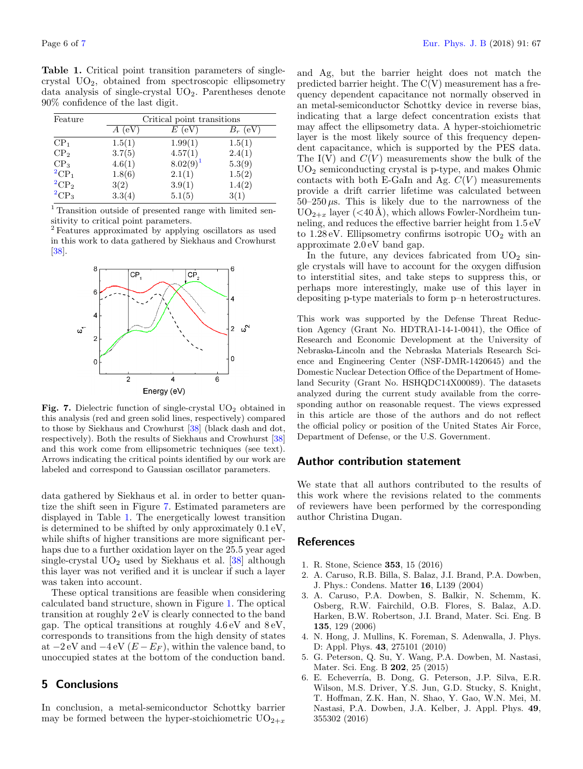<span id="page-7-4"></span>Table 1. Critical point transition parameters of singlecrystal  $UO<sub>2</sub>$ , obtained from spectroscopic ellipsometry data analysis of single-crystal  $UO<sub>2</sub>$ . Parentheses denote 90% confidence of the last digit.

| Feature             | Critical point transitions |             |            |
|---------------------|----------------------------|-------------|------------|
|                     | $A$ (eV)                   | $E$ (eV)    | $B_r$ (eV) |
| CP <sub>1</sub>     | 1.5(1)                     | 1.99(1)     | 1.5(1)     |
| CP <sub>2</sub>     | 3.7(5)                     | 4.57(1)     | 2.4(1)     |
| CP <sub>3</sub>     | 4.6(1)                     | $8.02(9)^1$ | 5.3(9)     |
| ${}^{2}CP_1$        | 1.8(6)                     | 2.1(1)      | 1.5(2)     |
| ${}^2C\mathrm{P}_2$ | 3(2)                       | 3.9(1)      | 1.4(2)     |
| ${}^{2}CP_{3}$      | 3.3(4)                     | 5.1(5)      | 3(1)       |

<span id="page-7-5"></span><sup>1</sup> Transition outside of presented range with limited sensitivity to critical point parameters.

<span id="page-7-6"></span><sup>2</sup> Features approximated by applying oscillators as used in this work to data gathered by Siekhaus and Crowhurst [\[38\]](#page-8-29).



<span id="page-7-7"></span>Fig. 7. Dielectric function of single-crystal  $UO<sub>2</sub>$  obtained in this analysis (red and green solid lines, respectively) compared to those by Siekhaus and Crowhurst [\[38\]](#page-8-29) (black dash and dot, respectively). Both the results of Siekhaus and Crowhurst [\[38\]](#page-8-29) and this work come from ellipsometric techniques (see text). Arrows indicating the critical points identified by our work are labeled and correspond to Gaussian oscillator parameters.

data gathered by Siekhaus et al. in order to better quantize the shift seen in Figure [7.](#page-7-7) Estimated parameters are displayed in Table [1.](#page-7-4) The energetically lowest transition is determined to be shifted by only approximately 0.1 eV, while shifts of higher transitions are more significant perhaps due to a further oxidation layer on the 25.5 year aged single-crystal  $UO_2$  used by Siekhaus et al. [\[38\]](#page-8-29) although this layer was not verified and it is unclear if such a layer was taken into account.

These optical transitions are feasible when considering calculated band structure, shown in Figure [1.](#page-3-0) The optical transition at roughly 2 eV is clearly connected to the band gap. The optical transitions at roughly  $4.6 \text{ eV}$  and  $8 \text{ eV}$ , corresponds to transitions from the high density of states at  $-2$  eV and  $-4$  eV  $(E - E_F)$ , within the valence band, to unoccupied states at the bottom of the conduction band.

#### 5 Conclusions

In conclusion, a metal-semiconductor Schottky barrier may be formed between the hyper-stoichiometric  $UO_{2+x}$ 

and Ag, but the barrier height does not match the predicted barrier height. The  $C(V)$  measurement has a frequency dependent capacitance not normally observed in an metal-semiconductor Schottky device in reverse bias, indicating that a large defect concentration exists that may affect the ellipsometry data. A hyper-stoichiometric layer is the most likely source of this frequency dependent capacitance, which is supported by the PES data. The I(V) and  $C(V)$  measurements show the bulk of the UO<sup>2</sup> semiconducting crystal is p-type, and makes Ohmic contacts with both E-GaIn and Ag.  $C(V)$  measurements provide a drift carrier lifetime was calculated between  $50-250 \mu s$ . This is likely due to the narrowness of the  $UO_{2+x}$  layer (<40 Å), which allows Fowler-Nordheim tunneling, and reduces the effective barrier height from 1.5 eV to  $1.28 \text{ eV}$ . Ellipsometry confirms isotropic  $UO<sub>2</sub>$  with an approximate 2.0 eV band gap.

In the future, any devices fabricated from  $UO<sub>2</sub>$  single crystals will have to account for the oxygen diffusion to interstitial sites, and take steps to suppress this, or perhaps more interestingly, make use of this layer in depositing p-type materials to form p–n heterostructures.

This work was supported by the Defense Threat Reduction Agency (Grant No. HDTRA1-14-1-0041), the Office of Research and Economic Development at the University of Nebraska-Lincoln and the Nebraska Materials Research Science and Engineering Center (NSF-DMR-1420645) and the Domestic Nuclear Detection Office of the Department of Homeland Security (Grant No. HSHQDC14X00089). The datasets analyzed during the current study available from the corresponding author on reasonable request. The views expressed in this article are those of the authors and do not reflect the official policy or position of the United States Air Force, Department of Defense, or the U.S. Government.

#### Author contribution statement

We state that all authors contributed to the results of this work where the revisions related to the comments of reviewers have been performed by the corresponding author Christina Dugan.

#### <span id="page-7-3"></span>References

- <span id="page-7-0"></span>1. R. Stone, Science 353, 15 (2016)
- <span id="page-7-1"></span>2. A. Caruso, R.B. Billa, S. Balaz, J.I. Brand, P.A. Dowben, J. Phys.: Condens. Matter 16, L139 (2004)
- 3. A. Caruso, P.A. Dowben, S. Balkir, N. Schemm, K. Osberg, R.W. Fairchild, O.B. Flores, S. Balaz, A.D. Harken, B.W. Robertson, J.I. Brand, Mater. Sci. Eng. B 135, 129 (2006)
- 4. N. Hong, J. Mullins, K. Foreman, S. Adenwalla, J. Phys. D: Appl. Phys. 43, 275101 (2010)
- 5. G. Peterson, Q. Su, Y. Wang, P.A. Dowben, M. Nastasi, Mater. Sci. Eng. B 202, 25 (2015)
- <span id="page-7-2"></span>6. E. Echeverría, B. Dong, G. Peterson, J.P. Silva, E.R. Wilson, M.S. Driver, Y.S. Jun, G.D. Stucky, S. Knight, T. Hoffman, Z.K. Han, N. Shao, Y. Gao, W.N. Mei, M. Nastasi, P.A. Dowben, J.A. Kelber, J. Appl. Phys. 49, 355302 (2016)